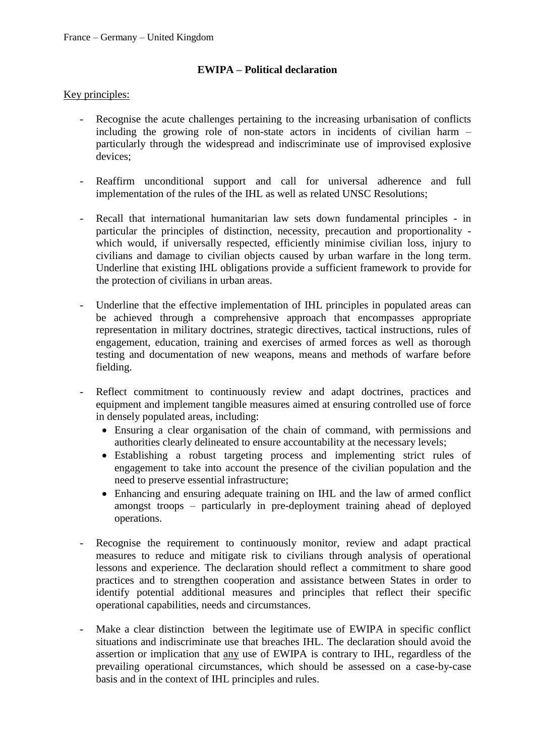## **EWIPA – Political declaration**

## Key principles:

- Recognise the acute challenges pertaining to the increasing urbanisation of conflicts including the growing role of non-state actors in incidents of civilian harm – particularly through the widespread and indiscriminate use of improvised explosive devices;
- Reaffirm unconditional support and call for universal adherence and full implementation of the rules of the IHL as well as related UNSC Resolutions;
- Recall that international humanitarian law sets down fundamental principles in particular the principles of distinction, necessity, precaution and proportionality which would, if universally respected, efficiently minimise civilian loss, injury to civilians and damage to civilian objects caused by urban warfare in the long term. Underline that existing IHL obligations provide a sufficient framework to provide for the protection of civilians in urban areas.
- Underline that the effective implementation of IHL principles in populated areas can be achieved through a comprehensive approach that encompasses appropriate representation in military doctrines, strategic directives, tactical instructions, rules of engagement, education, training and exercises of armed forces as well as thorough testing and documentation of new weapons, means and methods of warfare before fielding.
- Reflect commitment to continuously review and adapt doctrines, practices and equipment and implement tangible measures aimed at ensuring controlled use of force in densely populated areas, including:
	- Ensuring a clear organisation of the chain of command, with permissions and authorities clearly delineated to ensure accountability at the necessary levels;
	- Establishing a robust targeting process and implementing strict rules of engagement to take into account the presence of the civilian population and the need to preserve essential infrastructure;
	- Enhancing and ensuring adequate training on IHL and the law of armed conflict amongst troops – particularly in pre-deployment training ahead of deployed operations.
- Recognise the requirement to continuously monitor, review and adapt practical measures to reduce and mitigate risk to civilians through analysis of operational lessons and experience. The declaration should reflect a commitment to share good practices and to strengthen cooperation and assistance between States in order to identify potential additional measures and principles that reflect their specific operational capabilities, needs and circumstances.
- Make a clear distinction between the legitimate use of EWIPA in specific conflict situations and indiscriminate use that breaches IHL. The declaration should avoid the assertion or implication that any use of EWIPA is contrary to IHL, regardless of the prevailing operational circumstances, which should be assessed on a case-by-case basis and in the context of IHL principles and rules.